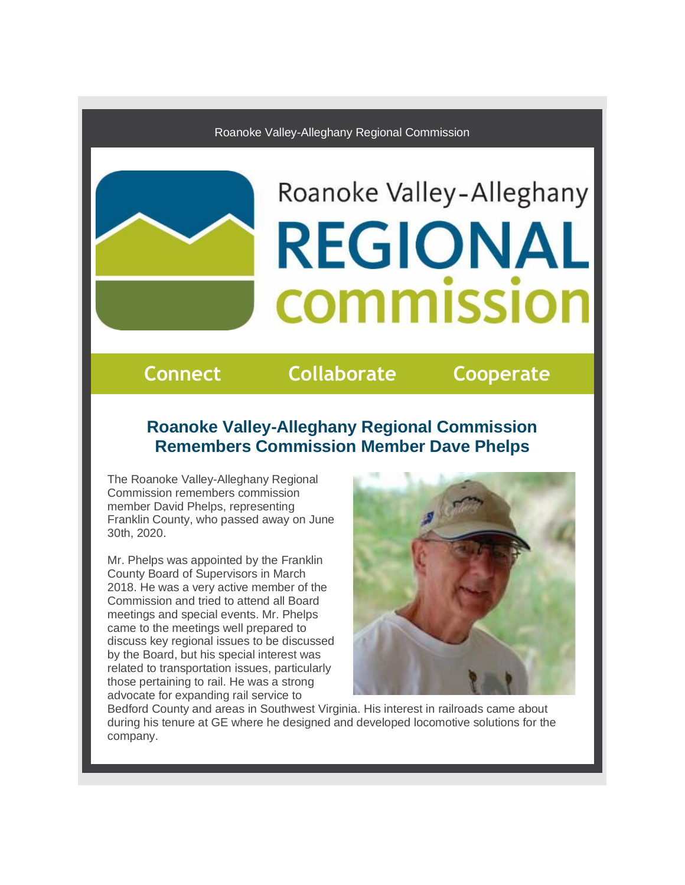Roanoke Valley-Alleghany Regional Commission

# Roanoke Valley-Alleghany **REGIONAL** commission

## **Connect Collaborate Cooperate**

## **Roanoke Valley-Alleghany Regional Commission Remembers Commission Member Dave Phelps**

The Roanoke Valley-Alleghany Regional Commission remembers commission member David Phelps, representing Franklin County, who passed away on June 30th, 2020.

Mr. Phelps was appointed by the Franklin County Board of Supervisors in March 2018. He was a very active member of the Commission and tried to attend all Board meetings and special events. Mr. Phelps came to the meetings well prepared to discuss key regional issues to be discussed by the Board, but his special interest was related to transportation issues, particularly those pertaining to rail. He was a strong advocate for expanding rail service to



Bedford County and areas in Southwest Virginia. His interest in railroads came about during his tenure at GE where he designed and developed locomotive solutions for the company.